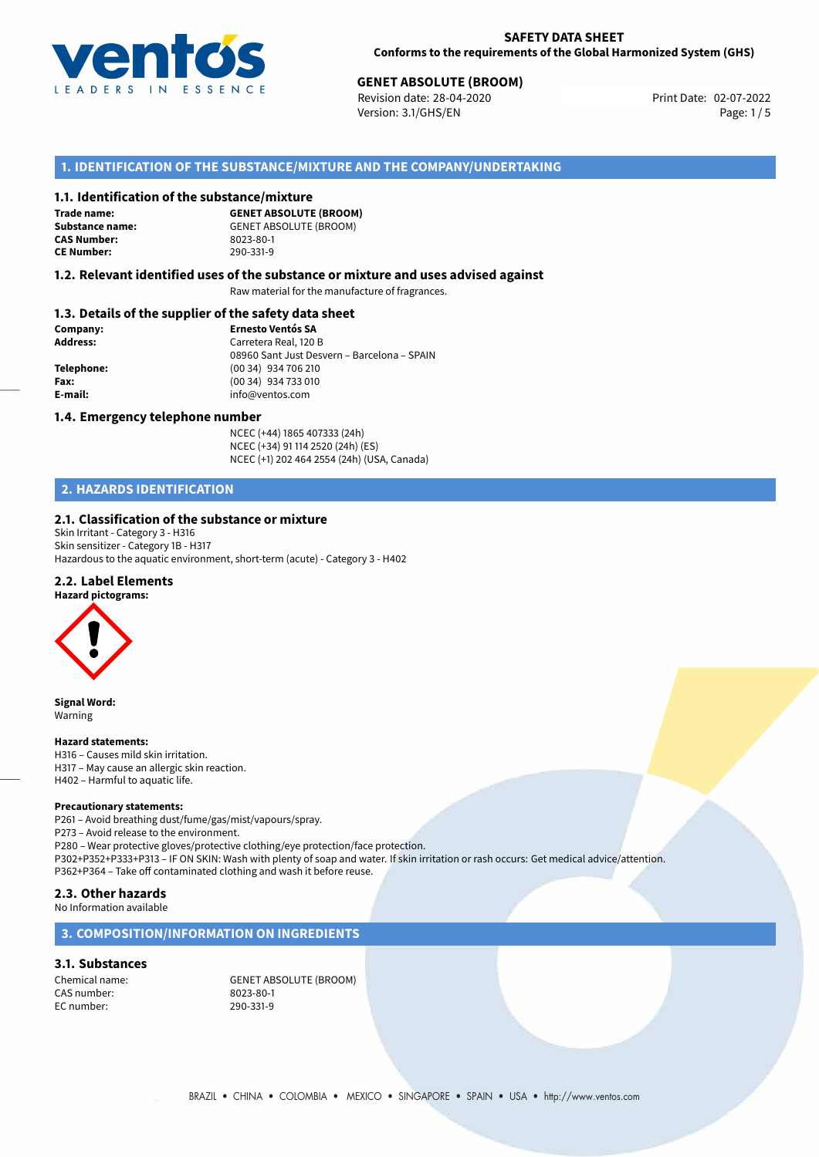

# **GENET ABSOLUTE (BROOM)**<br>
Revision date: 28-04-2020<br> **Drint Date: 02-07-2022**

Revision date: 28-04-2020 Version: 3.1/GHS/EN Page: 1 / 5

## **1. IDENTIFICATION OF THE SUBSTANCE/MIXTURE AND THE COMPANY/UNDERTAKING**

#### **1.1. Identification of the substance/mixture**

**Trade name: CAS Number: CE Number:** 290-331-9

**GENET ABSOLUTE (BROOM) Substance name:** GENET ABSOLUTE (BROOM)<br> **CAS Number:** 8023-80-1

#### **1.2. Relevant identified uses of the substance or mixture and uses advised against**

Raw material for the manufacture of fragrances.

#### **1.3. Details of the supplier of the safety data sheet**

| Company:        | <b>Ernesto Ventós SA</b>                    |  |
|-----------------|---------------------------------------------|--|
| <b>Address:</b> | Carretera Real, 120 B                       |  |
|                 | 08960 Sant Just Desvern - Barcelona - SPAIN |  |
| Telephone:      | (00 34) 934 706 210                         |  |
| Fax:            | (00 34) 934 733 010                         |  |
| E-mail:         | info@ventos.com                             |  |
|                 |                                             |  |

#### **1.4. Emergency telephone number**

NCEC (+44) 1865 407333 (24h) NCEC (+34) 91 114 2520 (24h) (ES) NCEC (+1) 202 464 2554 (24h) (USA, Canada)

## **2. HAZARDS IDENTIFICATION**

#### **2.1. Classification of the substance or mixture**

Skin Irritant - Category 3 - H316 Skin sensitizer - Category 1B - H317 Hazardous to the aquatic environment, short-term (acute) - Category 3 - H402

### **2.2. Label Elements**



**Signal Word:** Warning

#### **Hazard statements:**

H316 – Causes mild skin irritation. H317 – May cause an allergic skin reaction. H402 – Harmful to aquatic life.

#### **Precautionary statements:**

P261 – Avoid breathing dust/fume/gas/mist/vapours/spray. P273 – Avoid release to the environment. P280 – Wear protective gloves/protective clothing/eye protection/face protection. P302+P352+P333+P313 – IF ON SKIN: Wash with plenty of soap and water. If skin irritation or rash occurs: Get medical advice/attention. P362+P364 – Take off contaminated clothing and wash it before reuse. **2.3. Other hazards**

## No Information available

### **3. COMPOSITION/INFORMATION ON INGREDIENTS**

#### **3.1. Substances**

CAS number: 8023-80-1 EC number:

Chemical name: GENET ABSOLUTE (BROOM)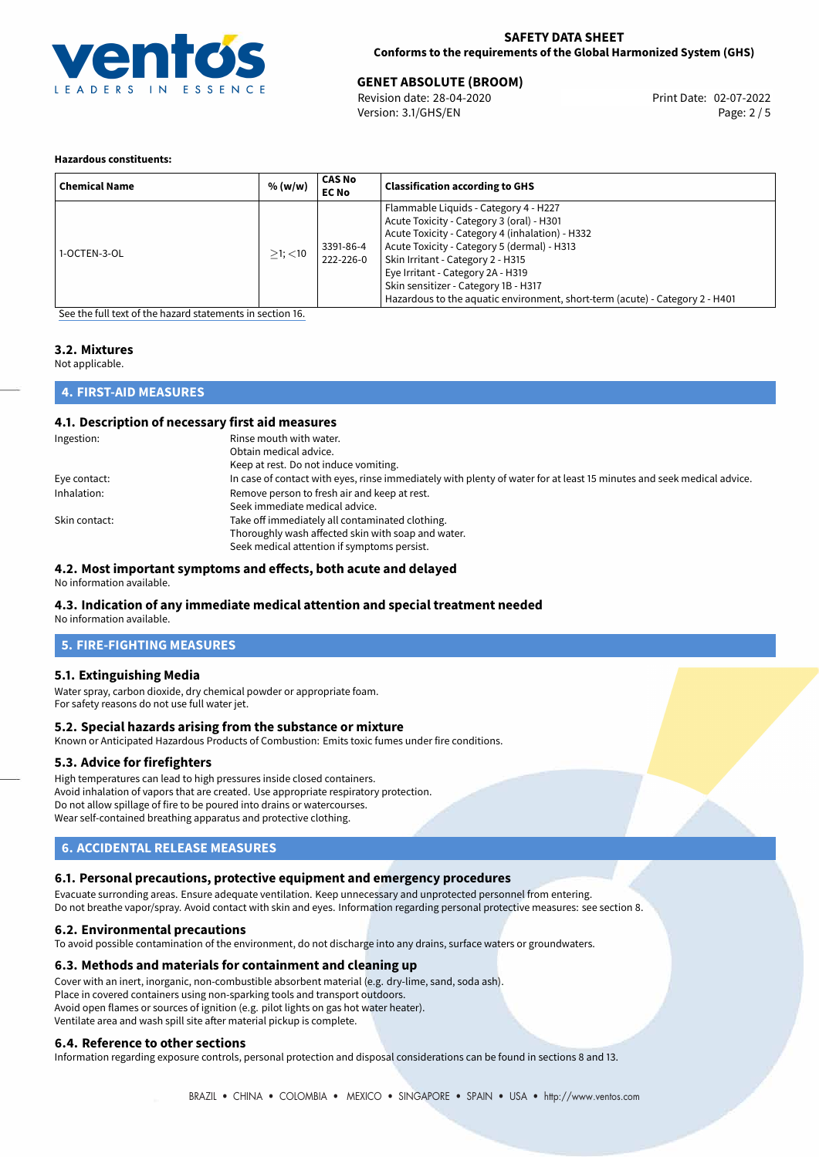

# 02-07-2022 **GENET ABSOLUTE (BROOM)**

Revision date: 28-04-2020 Version: 3.1/GHS/EN Page: 2 / 5

#### **Hazardous constituents:**

| <b>Chemical Name</b> | % (w/w)       | <b>CAS No</b><br><b>EC No</b> | <b>Classification according to GHS</b>                                                                                                                                                                                                                                                                                                                                                 |
|----------------------|---------------|-------------------------------|----------------------------------------------------------------------------------------------------------------------------------------------------------------------------------------------------------------------------------------------------------------------------------------------------------------------------------------------------------------------------------------|
| 1-OCTEN-3-OL         | $>1$ ; $<$ 10 | 3391-86-4<br>222-226-0        | Flammable Liquids - Category 4 - H227<br>Acute Toxicity - Category 3 (oral) - H301<br>Acute Toxicity - Category 4 (inhalation) - H332<br>Acute Toxicity - Category 5 (dermal) - H313<br>Skin Irritant - Category 2 - H315<br>Eye Irritant - Category 2A - H319<br>Skin sensitizer - Category 1B - H317<br>Hazardous to the aquatic environment, short-term (acute) - Category 2 - H401 |

[See the full text of the hazard statements in section 16.](#page-4-0)

## **3.2. Mixtures**

Not applicable.

#### **4. FIRST-AID MEASURES**

#### **4.1. Description of necessary first aid measures**

| Ingestion:    | Rinse mouth with water.                                                                                               |
|---------------|-----------------------------------------------------------------------------------------------------------------------|
|               | Obtain medical advice.                                                                                                |
|               | Keep at rest. Do not induce vomiting.                                                                                 |
| Eye contact:  | In case of contact with eyes, rinse immediately with plenty of water for at least 15 minutes and seek medical advice. |
| Inhalation:   | Remove person to fresh air and keep at rest.                                                                          |
|               | Seek immediate medical advice.                                                                                        |
| Skin contact: | Take off immediately all contaminated clothing.                                                                       |
|               | Thoroughly wash affected skin with soap and water.                                                                    |
|               | Seek medical attention if symptoms persist.                                                                           |

#### **4.2. Most important symptoms and effects, both acute and delayed**

No information available.

#### **4.3. Indication of any immediate medical attention and special treatment needed**

No information available.

### **5. FIRE-FIGHTING MEASURES**

#### **5.1. Extinguishing Media**

Water spray, carbon dioxide, dry chemical powder or appropriate foam. For safety reasons do not use full water jet.

#### **5.2. Special hazards arising from the substance or mixture**

Known or Anticipated Hazardous Products of Combustion: Emits toxic fumes under fire conditions.

#### **5.3. Advice for firefighters**

High temperatures can lead to high pressures inside closed containers. Avoid inhalation of vapors that are created. Use appropriate respiratory protection. Do not allow spillage of fire to be poured into drains or watercourses. Wear self-contained breathing apparatus and protective clothing.

### **6. ACCIDENTAL RELEASE MEASURES**

#### **6.1. Personal precautions, protective equipment and emergency procedures**

Evacuate surronding areas. Ensure adequate ventilation. Keep unnecessary and unprotected personnel from entering. Do not breathe vapor/spray. Avoid contact with skin and eyes. Information regarding personal protective measures: see section 8.

#### **6.2. Environmental precautions**

To avoid possible contamination of the environment, do not discharge into any drains, surface waters or groundwaters.

#### **6.3. Methods and materials for containment and cleaning up**

Cover with an inert, inorganic, non-combustible absorbent material (e.g. dry-lime, sand, soda ash). Place in covered containers using non-sparking tools and transport outdoors. Avoid open flames or sources of ignition (e.g. pilot lights on gas hot water heater). Ventilate area and wash spill site after material pickup is complete.

#### **6.4. Reference to other sections**

Information regarding exposure controls, personal protection and disposal considerations can be found in sections 8 and 13.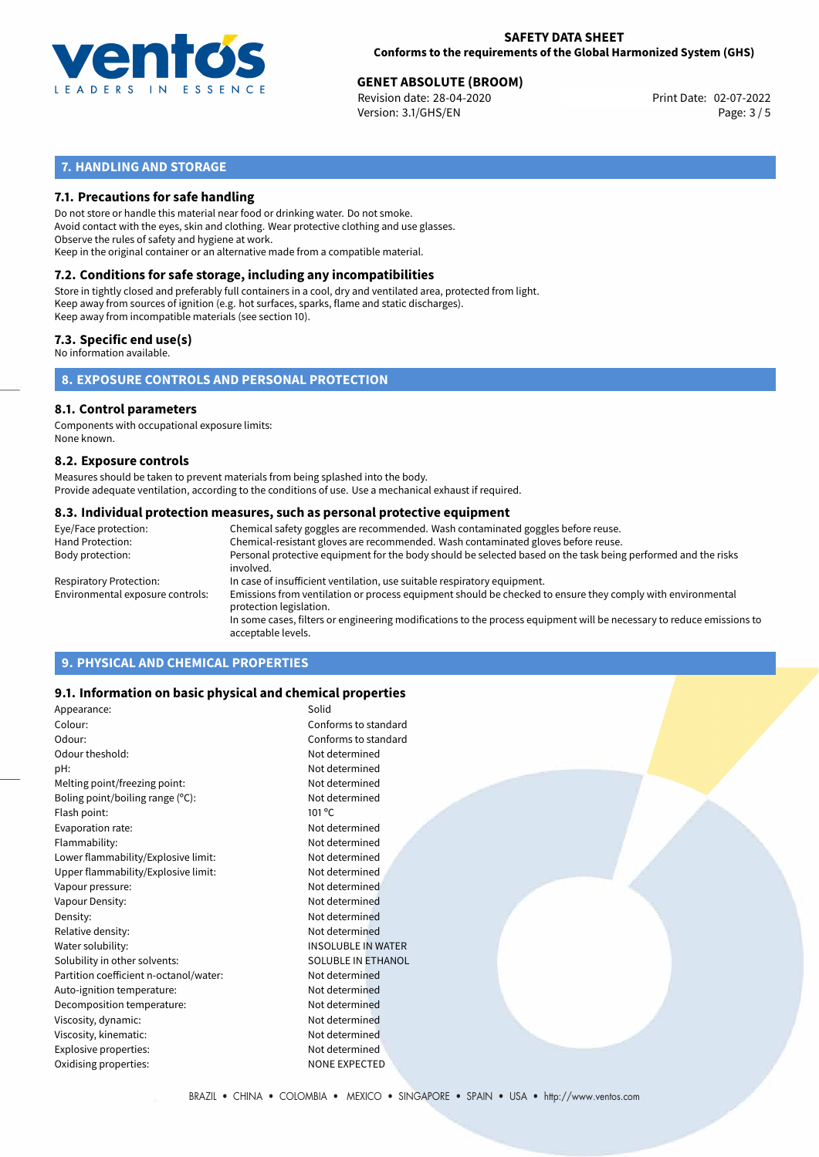

# **GENET ABSOLUTE (BROOM)**<br>
Revision date: 28-04-2020<br> **Drint Date: 02-07-2022**

Revision date: 28-04-2020 Version: 3.1/GHS/EN Page: 3 / 5

## **7. HANDLING AND STORAGE**

### **7.1. Precautions for safe handling**

Do not store or handle this material near food or drinking water. Do not smoke. Avoid contact with the eyes, skin and clothing. Wear protective clothing and use glasses. Observe the rules of safety and hygiene at work. Keep in the original container or an alternative made from a compatible material.

## **7.2. Conditions for safe storage, including any incompatibilities**

Store in tightly closed and preferably full containers in a cool, dry and ventilated area, protected from light. Keep away from sources of ignition (e.g. hot surfaces, sparks, flame and static discharges). Keep away from incompatible materials (see section 10).

#### **7.3. Specific end use(s)**

No information available.

**8. EXPOSURE CONTROLS AND PERSONAL PROTECTION**

#### **8.1. Control parameters**

Components with occupational exposure limits: None known.

#### **8.2. Exposure controls**

Measures should be taken to prevent materials from being splashed into the body. Provide adequate ventilation, according to the conditions of use. Use a mechanical exhaust if required.

#### **8.3. Individual protection measures, such as personal protective equipment**

| Eye/Face protection:             | Chemical safety goggles are recommended. Wash contaminated goggles before reuse.                                                            |
|----------------------------------|---------------------------------------------------------------------------------------------------------------------------------------------|
| Hand Protection:                 | Chemical-resistant gloves are recommended. Wash contaminated gloves before reuse.                                                           |
| Body protection:                 | Personal protective equipment for the body should be selected based on the task being performed and the risks<br>involved.                  |
| Respiratory Protection:          | In case of insufficient ventilation, use suitable respiratory equipment.                                                                    |
| Environmental exposure controls: | Emissions from ventilation or process equipment should be checked to ensure they comply with environmental<br>protection legislation.       |
|                                  | In some cases, filters or engineering modifications to the process equipment will be necessary to reduce emissions to<br>acceptable levels. |
|                                  |                                                                                                                                             |

## **9. PHYSICAL AND CHEMICAL PROPERTIES**

#### **9.1. Information on basic physical and chemical properties**

| Appearance:                            | Solid                     |
|----------------------------------------|---------------------------|
| Colour:                                | Conforms to standard      |
| Odour:                                 | Conforms to standard      |
| Odour theshold:                        | Not determined            |
| pH:                                    | Not determined            |
| Melting point/freezing point:          | Not determined            |
| Boling point/boiling range (°C):       | Not determined            |
| Flash point:                           | $101^{\circ}$ C           |
| Evaporation rate:                      | Not determined            |
| Flammability:                          | Not determined            |
| Lower flammability/Explosive limit:    | Not determined            |
| Upper flammability/Explosive limit:    | Not determined            |
| Vapour pressure:                       | Not determined            |
| Vapour Density:                        | Not determined            |
| Density:                               | Not determined            |
| Relative density:                      | Not determined            |
| Water solubility:                      | <b>INSOLUBLE IN WATER</b> |
| Solubility in other solvents:          | <b>SOLUBLE IN ETHANOL</b> |
| Partition coefficient n-octanol/water: | Not determined            |
| Auto-ignition temperature:             | Not determined            |
| Decomposition temperature:             | Not determined            |
| Viscosity, dynamic:                    | Not determined            |
| Viscosity, kinematic:                  | Not determined            |
| Explosive properties:                  | Not determined            |
| Oxidising properties:                  | <b>NONE EXPECTED</b>      |
|                                        |                           |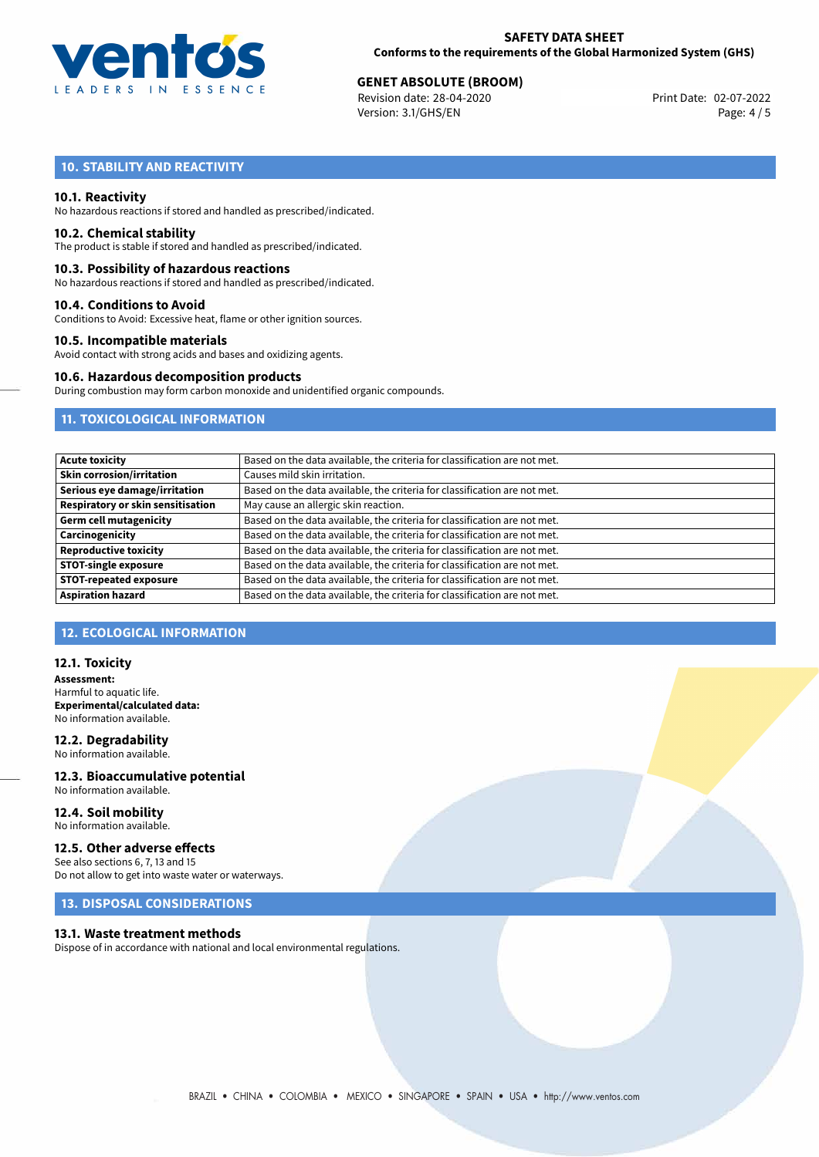

# **GENET ABSOLUTE (BROOM)**<br>
Revision date: 28-04-2020<br> **Drint Date: 02-07-2022**

Revision date: 28-04-2020 Version: 3.1/GHS/EN Page: 4 / 5

## **10. STABILITY AND REACTIVITY**

#### **10.1. Reactivity**

No hazardous reactions if stored and handled as prescribed/indicated.

#### **10.2. Chemical stability**

The product is stable if stored and handled as prescribed/indicated.

#### **10.3. Possibility of hazardous reactions**

No hazardous reactions if stored and handled as prescribed/indicated.

#### **10.4. Conditions to Avoid**

Conditions to Avoid: Excessive heat, flame or other ignition sources.

#### **10.5. Incompatible materials**

Avoid contact with strong acids and bases and oxidizing agents.

#### **10.6. Hazardous decomposition products**

During combustion may form carbon monoxide and unidentified organic compounds.

## **11. TOXICOLOGICAL INFORMATION**

| <b>Acute toxicity</b>                    | Based on the data available, the criteria for classification are not met. |
|------------------------------------------|---------------------------------------------------------------------------|
| <b>Skin corrosion/irritation</b>         | Causes mild skin irritation.                                              |
| Serious eye damage/irritation            | Based on the data available, the criteria for classification are not met. |
| <b>Respiratory or skin sensitisation</b> | May cause an allergic skin reaction.                                      |
| <b>Germ cell mutagenicity</b>            | Based on the data available, the criteria for classification are not met. |
| Carcinogenicity                          | Based on the data available, the criteria for classification are not met. |
| <b>Reproductive toxicity</b>             | Based on the data available, the criteria for classification are not met. |
| <b>STOT-single exposure</b>              | Based on the data available, the criteria for classification are not met. |
| <b>STOT-repeated exposure</b>            | Based on the data available, the criteria for classification are not met. |
| <b>Aspiration hazard</b>                 | Based on the data available, the criteria for classification are not met. |

## **12. ECOLOGICAL INFORMATION**

#### **12.1. Toxicity**

**Assessment:** Harmful to aquatic life. **Experimental/calculated data:** No information available.

## **12.2. Degradability**

No information available. **12.3. Bioaccumulative potential**

## No information available.

**12.4. Soil mobility** No information available.

#### **12.5. Other adverse effects**

See also sections 6, 7, 13 and 15 Do not allow to get into waste water or waterways.

## **13. DISPOSAL CONSIDERATIONS**

#### **13.1. Waste treatment methods**

Dispose of in accordance with national and local environmental regulations.